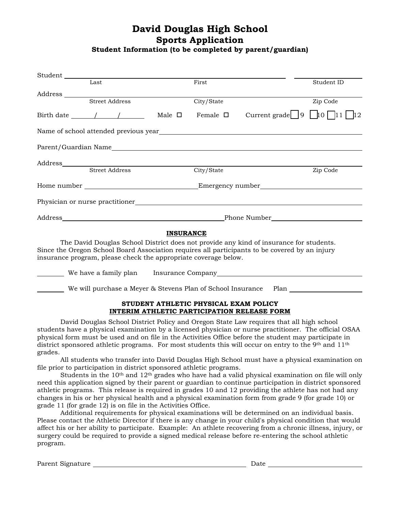## **David Douglas High School Sports Application**

**Student Information (to be completed by parent/guardian)**

| Student                                     |                       |                                                                                                                                                                                                                               |                  |                                                                 |                                                                                                                                                                                                                                                                                                                                                                                                                               |            |
|---------------------------------------------|-----------------------|-------------------------------------------------------------------------------------------------------------------------------------------------------------------------------------------------------------------------------|------------------|-----------------------------------------------------------------|-------------------------------------------------------------------------------------------------------------------------------------------------------------------------------------------------------------------------------------------------------------------------------------------------------------------------------------------------------------------------------------------------------------------------------|------------|
|                                             | Last                  |                                                                                                                                                                                                                               |                  | First                                                           |                                                                                                                                                                                                                                                                                                                                                                                                                               | Student ID |
|                                             | Street Address        |                                                                                                                                                                                                                               |                  |                                                                 |                                                                                                                                                                                                                                                                                                                                                                                                                               |            |
|                                             |                       |                                                                                                                                                                                                                               |                  | City/State                                                      |                                                                                                                                                                                                                                                                                                                                                                                                                               | Zip Code   |
| Birth date $\frac{1}{\sqrt{1-\frac{1}{2}}}$ |                       |                                                                                                                                                                                                                               | Male $\square$   | Female $\square$                                                | Current grade $\boxed{9}$ $\boxed{10}$ $\boxed{11}$ $\boxed{12}$                                                                                                                                                                                                                                                                                                                                                              |            |
|                                             |                       |                                                                                                                                                                                                                               |                  |                                                                 |                                                                                                                                                                                                                                                                                                                                                                                                                               |            |
|                                             |                       |                                                                                                                                                                                                                               |                  |                                                                 |                                                                                                                                                                                                                                                                                                                                                                                                                               |            |
|                                             |                       |                                                                                                                                                                                                                               |                  |                                                                 |                                                                                                                                                                                                                                                                                                                                                                                                                               |            |
|                                             | <b>Street Address</b> |                                                                                                                                                                                                                               |                  | City/State                                                      |                                                                                                                                                                                                                                                                                                                                                                                                                               | Zip Code   |
|                                             |                       |                                                                                                                                                                                                                               |                  |                                                                 |                                                                                                                                                                                                                                                                                                                                                                                                                               |            |
|                                             |                       |                                                                                                                                                                                                                               |                  |                                                                 |                                                                                                                                                                                                                                                                                                                                                                                                                               |            |
|                                             |                       | Address Phone Number Phone Number Phone Number Phone Number Phone Number Phone Number Phone Number Phone Number Phone Number Phone Number Phone Number Phone Number Phone Number Phone Number Phone Number Phone Number Phone |                  |                                                                 |                                                                                                                                                                                                                                                                                                                                                                                                                               |            |
|                                             |                       |                                                                                                                                                                                                                               | <b>INSURANCE</b> |                                                                 |                                                                                                                                                                                                                                                                                                                                                                                                                               |            |
|                                             |                       |                                                                                                                                                                                                                               |                  | insurance program, please check the appropriate coverage below. | The David Douglas School District does not provide any kind of insurance for students.<br>Since the Oregon School Board Association requires all participants to be covered by an injury                                                                                                                                                                                                                                      |            |
|                                             |                       |                                                                                                                                                                                                                               |                  |                                                                 | <b>Example 20</b> We have a family plan <b>container the company</b> and the company and the control of the control of the control of the control of the control of the control of the control of the control of the control of the cont                                                                                                                                                                                      |            |
|                                             |                       |                                                                                                                                                                                                                               |                  |                                                                 | We will purchase a Meyer & Stevens Plan of School Insurance Plan _______________                                                                                                                                                                                                                                                                                                                                              |            |
|                                             |                       |                                                                                                                                                                                                                               |                  | STUDENT ATHLETIC PHYSICAL EXAM POLICY                           | INTERIM ATHLETIC PARTICIPATION RELEASE FORM                                                                                                                                                                                                                                                                                                                                                                                   |            |
|                                             |                       |                                                                                                                                                                                                                               |                  |                                                                 | David Douglas School District Policy and Oregon State Law requires that all high school<br>students have a physical examination by a licensed physician or nurse practitioner. The official OSAA<br>physical form must be used and on file in the Activities Office before the student may participate in<br>district sponsored athletic programs. For most students this will occur on entry to the 9th and 11 <sup>th</sup> |            |

grades.

All students who transfer into David Douglas High School must have a physical examination on file prior to participation in district sponsored athletic programs.

Students in the 10<sup>th</sup> and 12<sup>th</sup> grades who have had a valid physical examination on file will only need this application signed by their parent or guardian to continue participation in district sponsored athletic programs. This release is required in grades 10 and 12 providing the athlete has not had any changes in his or her physical health and a physical examination form from grade 9 (for grade 10) or grade 11 (for grade 12) is on file in the Activities Office.

Additional requirements for physical examinations will be determined on an individual basis. Please contact the Athletic Director if there is any change in your child's physical condition that would affect his or her ability to participate. Example: An athlete recovering from a chronic illness, injury, or surgery could be required to provide a signed medical release before re-entering the school athletic program.

Parent Signature **blue and the set of the set of the set of the Signature**  $\overline{\phantom{a}}$ Date *Date*